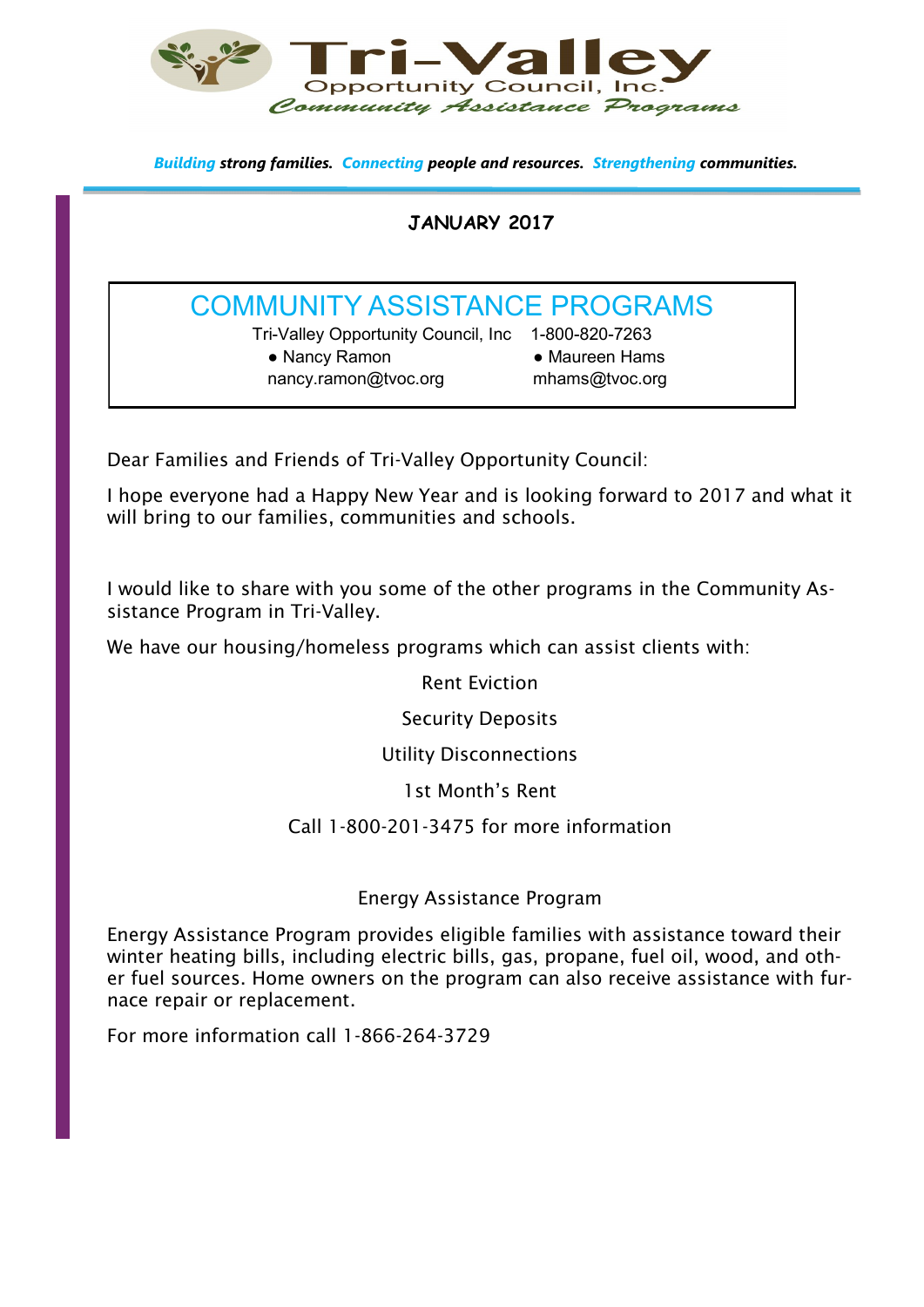

*Building strong families. Connecting people and resources. Strengthening communities.*

## **JANUARY 2017**

## COMMUNITY ASSISTANCE PROGRAMS

Tri-Valley Opportunity Council, Inc 1-800-820-7263 • Nancy Ramon • Maureen Hams nancy.ramon@tvoc.org mhams@tvoc.org

Dear Families and Friends of Tri-Valley Opportunity Council:

I hope everyone had a Happy New Year and is looking forward to 2017 and what it will bring to our families, communities and schools.

I would like to share with you some of the other programs in the Community Assistance Program in Tri-Valley.

We have our housing/homeless programs which can assist clients with:

Rent Eviction

Security Deposits

Utility Disconnections

1st Month's Rent

Call 1-800-201-3475 for more information

### Energy Assistance Program

Energy Assistance Program provides eligible families with assistance toward their winter heating bills, including electric bills, gas, propane, fuel oil, wood, and other fuel sources. Home owners on the program can also receive assistance with furnace repair or replacement.

For more information call 1-866-264-3729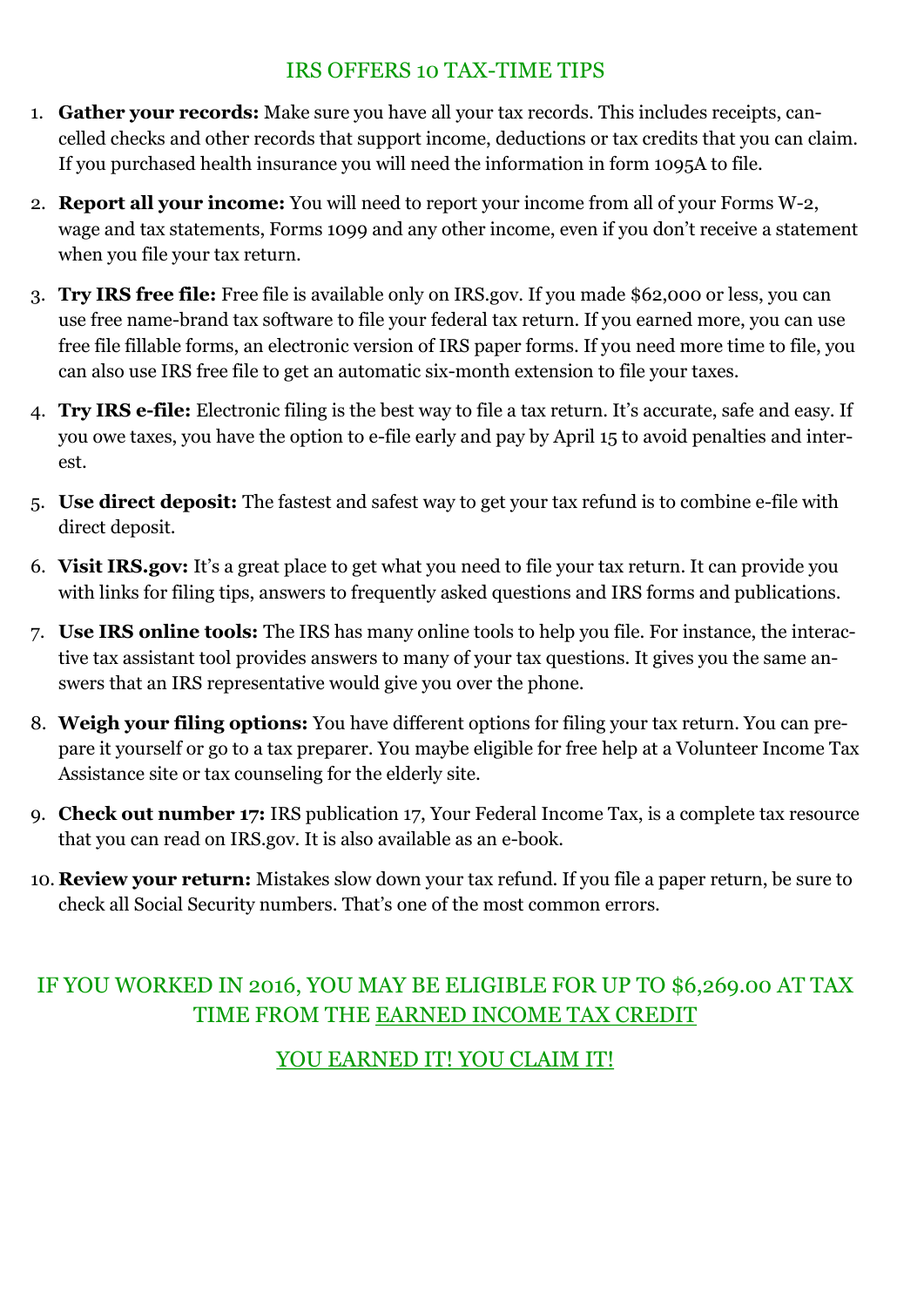## IRS OFFERS 10 TAX-TIME TIPS

- 1. **Gather your records:** Make sure you have all your tax records. This includes receipts, cancelled checks and other records that support income, deductions or tax credits that you can claim. If you purchased health insurance you will need the information in form 1095A to file.
- 2. **Report all your income:** You will need to report your income from all of your Forms W-2, wage and tax statements, Forms 1099 and any other income, even if you don't receive a statement when you file your tax return.
- 3. **Try IRS free file:** Free file is available only on IRS.gov. If you made \$62,000 or less, you can use free name-brand tax software to file your federal tax return. If you earned more, you can use free file fillable forms, an electronic version of IRS paper forms. If you need more time to file, you can also use IRS free file to get an automatic six-month extension to file your taxes.
- 4. **Try IRS e-file:** Electronic filing is the best way to file a tax return. It's accurate, safe and easy. If you owe taxes, you have the option to e-file early and pay by April 15 to avoid penalties and interest.
- 5. **Use direct deposit:** The fastest and safest way to get your tax refund is to combine e-file with direct deposit.
- 6. **Visit IRS.gov:** It's a great place to get what you need to file your tax return. It can provide you with links for filing tips, answers to frequently asked questions and IRS forms and publications.
- 7. **Use IRS online tools:** The IRS has many online tools to help you file. For instance, the interactive tax assistant tool provides answers to many of your tax questions. It gives you the same answers that an IRS representative would give you over the phone.
- 8. **Weigh your filing options:** You have different options for filing your tax return. You can prepare it yourself or go to a tax preparer. You maybe eligible for free help at a Volunteer Income Tax Assistance site or tax counseling for the elderly site.
- 9. **Check out number 17:** IRS publication 17, Your Federal Income Tax, is a complete tax resource that you can read on IRS.gov. It is also available as an e-book.
- 10. **Review your return:** Mistakes slow down your tax refund. If you file a paper return, be sure to check all Social Security numbers. That's one of the most common errors.

## IF YOU WORKED IN 2016, YOU MAY BE ELIGIBLE FOR UP TO \$6,269.00 AT TAX TIME FROM THE EARNED INCOME TAX CREDIT

YOU EARNED IT! YOU CLAIM IT!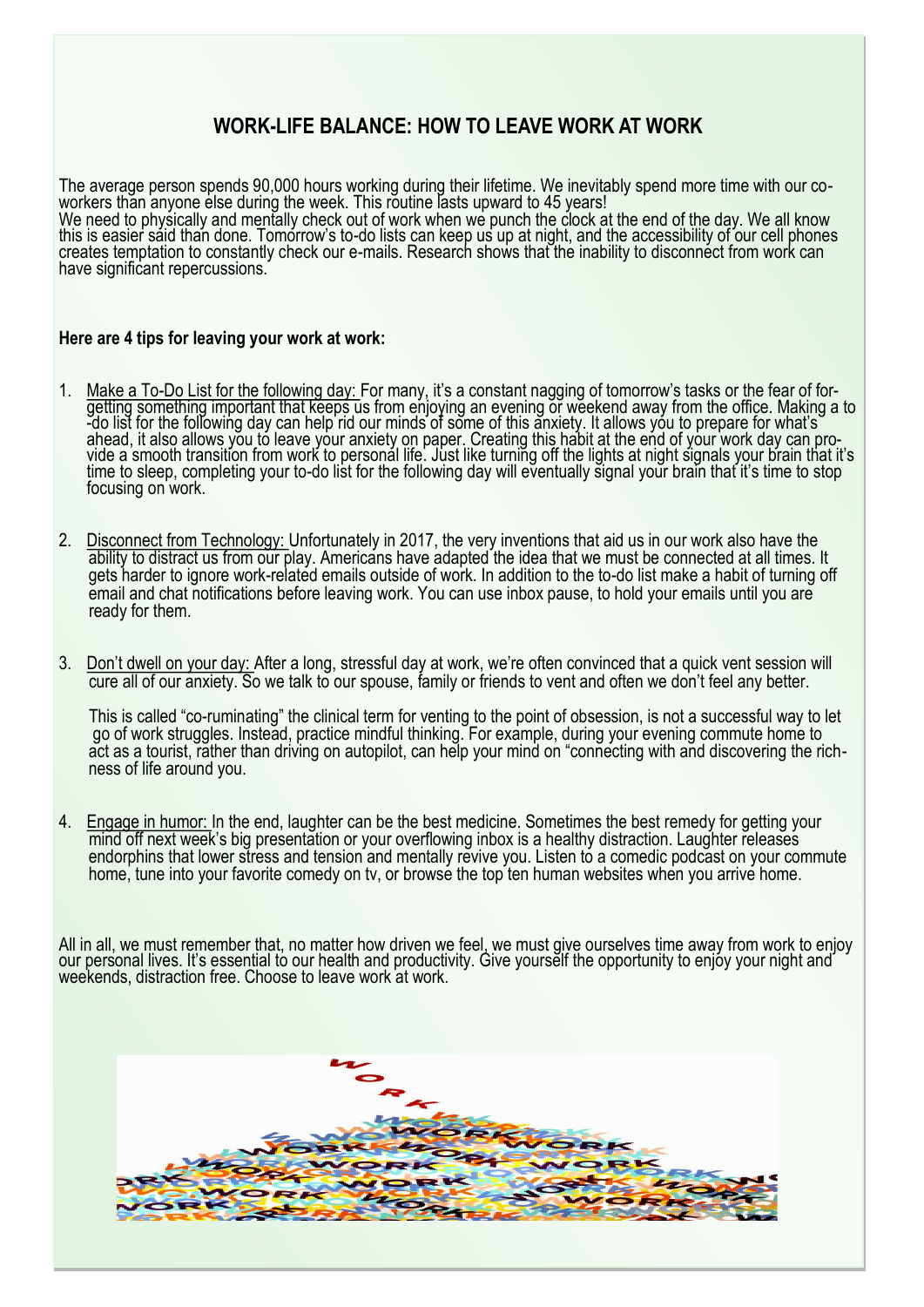## **WORK-LIFE BALANCE: HOW TO LEAVE WORK AT WORK**

The average person spends 90,000 hours working during their lifetime. We inevitably spend more time with our coworkers than anyone else during the week. This routine lasts upward to 45 years! We need to physically and mentally check out of work when we punch the clock at the end of the day. We all know this is easier said than done. Tomorrow's to-do lists can keep us up at night, and the accessibility of our cell phones creates temptation to constantly check our e-mails. Research shows that the inability to disconnect from work can have significant repercussions.

#### **Here are 4 tips for leaving your work at work:**

- 1. Make a To-Do List for the following day: For many, it's a constant nagging of tomorrow's tasks or the fear of forgetting something important that keeps us from enjoying an evening or weekend away from the office. Making a to -do list for the following day can help rid our minds of some of this anxiety. It allows you to prepare for what's` ahead, it also allows you to leave your anxiety on paper. Creating this habit at the end of your work day can provide a smooth transition from work to personal life. Just like turning off the lights at night signals your brain that it's time to sleep, completing your to-do list for the following day will eventually signal your brain that it's time to stop focusing on work.
- 2. Disconnect from Technology: Unfortunately in 2017, the very inventions that aid us in our work also have the ability to distract us from our play. Americans have adapted the idea that we must be connected at all times. It gets harder to ignore work-related emails outside of work. In addition to the to-do list make a habit of turning off email and chat notifications before leaving work. You can use inbox pause, to hold your emails until you are ready for them.
- 3. Don't dwell on your day: After a long, stressful day at work, we're often convinced that a quick vent session will cure all of our anxiety. So we talk to our spouse, family or friends to vent and often we don't feel any better.

 This is called "co-ruminating" the clinical term for venting to the point of obsession, is not a successful way to let go of work struggles. Instead, practice mindful thinking. For example, during your evening commute home to act as a tourist, rather than driving on autopilot, can help your mind on "connecting with and discovering the rich ness of life around you.

4. Engage in humor: In the end, laughter can be the best medicine. Sometimes the best remedy for getting your mind off next week's big presentation or your overflowing inbox is a healthy distraction. Laughter releases endorphins that lower stress and tension and mentally revive you. Listen to a comedic podcast on your commute home, tune into your favorite comedy on tv, or browse the top ten human websites when you arrive home.

All in all, we must remember that, no matter how driven we feel, we must give ourselves time away from work to enjoy our personal lives. It's essential to our health and productivity. Give yourself the opportunity to enjoy your night and weekends, distraction free. Choose to leave work at work.

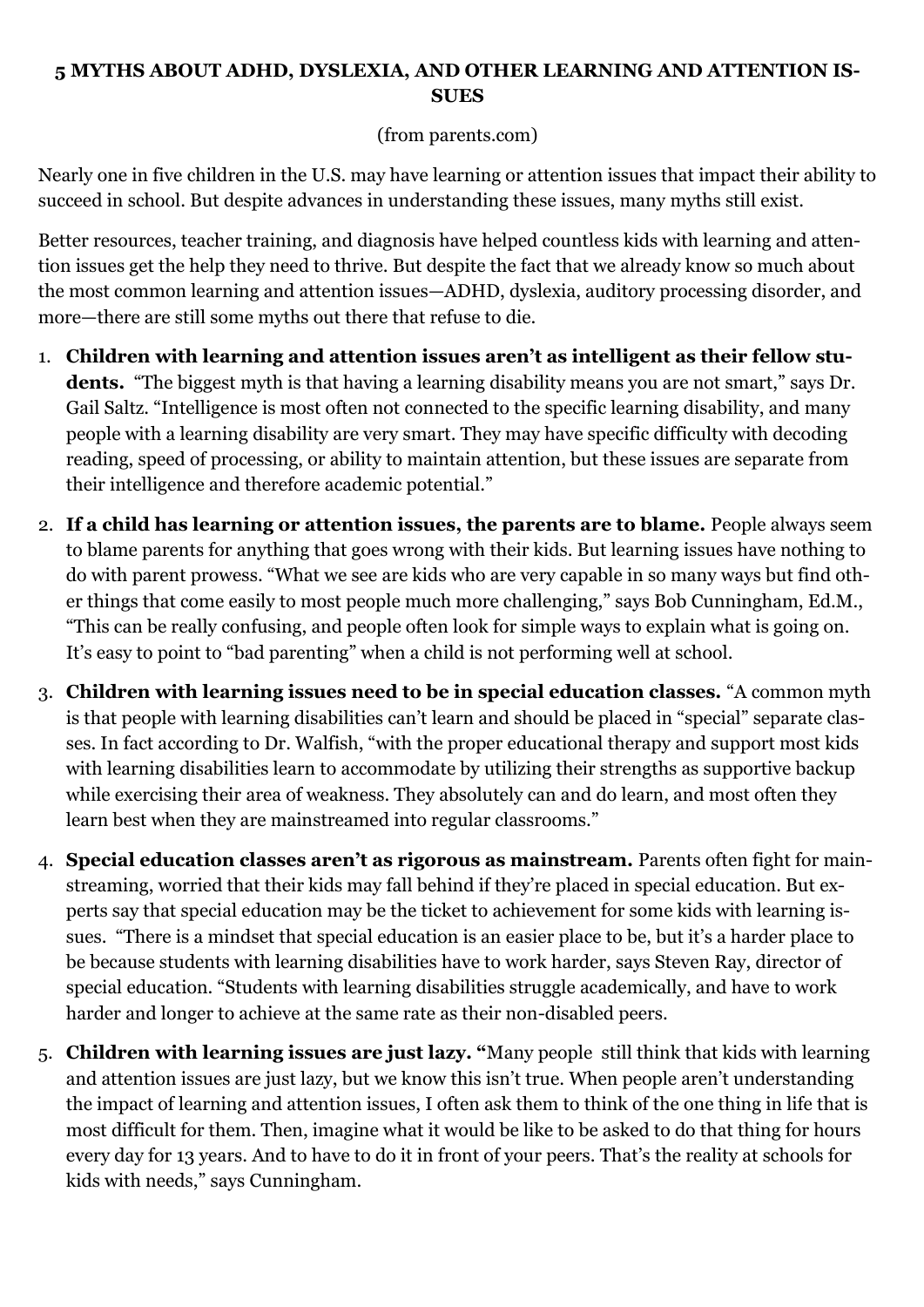## **5 MYTHS ABOUT ADHD, DYSLEXIA, AND OTHER LEARNING AND ATTENTION IS-SUES**

### (from parents.com)

Nearly one in five children in the U.S. may have learning or attention issues that impact their ability to succeed in school. But despite advances in understanding these issues, many myths still exist.

Better resources, teacher training, and diagnosis have helped countless kids with learning and attention issues get the help they need to thrive. But despite the fact that we already know so much about the most common learning and attention issues—ADHD, dyslexia, auditory processing disorder, and more—there are still some myths out there that refuse to die.

- 1. **Children with learning and attention issues aren't as intelligent as their fellow stu**dents. "The biggest myth is that having a learning disability means you are not smart," says Dr. Gail Saltz. "Intelligence is most often not connected to the specific learning disability, and many people with a learning disability are very smart. They may have specific difficulty with decoding reading, speed of processing, or ability to maintain attention, but these issues are separate from their intelligence and therefore academic potential."
- 2. **If a child has learning or attention issues, the parents are to blame.** People always seem to blame parents for anything that goes wrong with their kids. But learning issues have nothing to do with parent prowess. "What we see are kids who are very capable in so many ways but find other things that come easily to most people much more challenging," says Bob Cunningham, Ed.M., "This can be really confusing, and people often look for simple ways to explain what is going on. It's easy to point to "bad parenting" when a child is not performing well at school.
- 3. **Children with learning issues need to be in special education classes.** "A common myth is that people with learning disabilities can't learn and should be placed in "special" separate classes. In fact according to Dr. Walfish, "with the proper educational therapy and support most kids with learning disabilities learn to accommodate by utilizing their strengths as supportive backup while exercising their area of weakness. They absolutely can and do learn, and most often they learn best when they are mainstreamed into regular classrooms."
- 4. **Special education classes aren't as rigorous as mainstream.** Parents often fight for mainstreaming, worried that their kids may fall behind if they're placed in special education. But experts say that special education may be the ticket to achievement for some kids with learning issues. "There is a mindset that special education is an easier place to be, but it's a harder place to be because students with learning disabilities have to work harder, says Steven Ray, director of special education. "Students with learning disabilities struggle academically, and have to work harder and longer to achieve at the same rate as their non-disabled peers.
- 5. **Children with learning issues are just lazy. "**Many people still think that kids with learning and attention issues are just lazy, but we know this isn't true. When people aren't understanding the impact of learning and attention issues, I often ask them to think of the one thing in life that is most difficult for them. Then, imagine what it would be like to be asked to do that thing for hours every day for 13 years. And to have to do it in front of your peers. That's the reality at schools for kids with needs," says Cunningham.